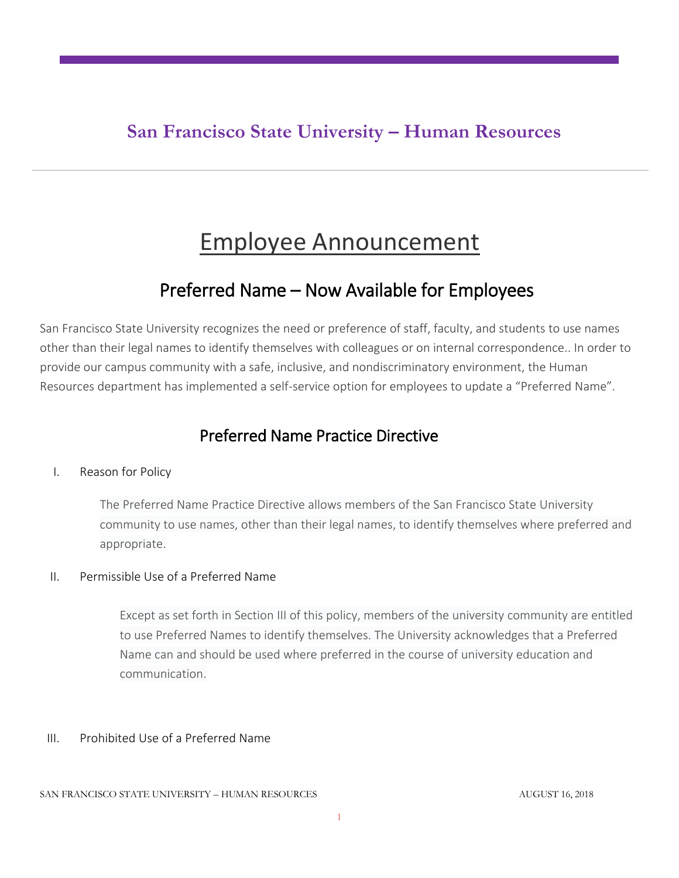## **San Francisco State University – Human Resources**

# Employee Announcement

## Preferred Name – Now Available for Employees

San Francisco State University recognizes the need or preference of staff, faculty, and students to use names other than their legal names to identify themselves with colleagues or on internal correspondence.. In order to provide our campus community with a safe, inclusive, and nondiscriminatory environment, the Human Resources department has implemented a self-service option for employees to update a "Preferred Name".

### Preferred Name Practice Directive

#### I. Reason for Policy

The Preferred Name Practice Directive allows members of the San Francisco State University community to use names, other than their legal names, to identify themselves where preferred and appropriate.

#### II. Permissible Use of a Preferred Name

Except as set forth in Section III of this policy, members of the university community are entitled to use Preferred Names to identify themselves. The University acknowledges that a Preferred Name can and should be used where preferred in the course of university education and communication.

#### III. Prohibited Use of a Preferred Name